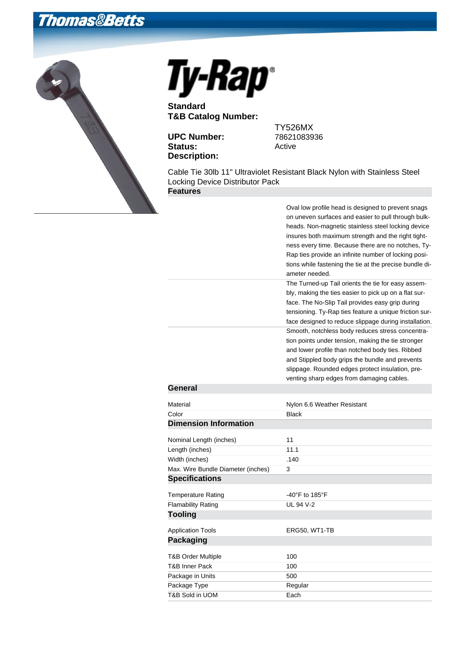## **Thomas&Betts**





**Standard T&B Catalog Number:**

**UPC Number:** 78621083936 Status: Active **Description:**

TY526MX

Cable Tie 30lb 11" Ultraviolet Resistant Black Nylon with Stainless Steel Locking Device Distributor Pack **Features**

Oval low profile head is designed to prevent snags

| Oval low profile head is designed to prevent shags<br>on uneven surfaces and easier to pull through bulk-<br>heads. Non-magnetic stainless steel locking device<br>insures both maximum strength and the right tight-<br>ness every time. Because there are no notches, Ty-<br>Rap ties provide an infinite number of locking posi-<br>tions while fastening the tie at the precise bundle di-<br>ameter needed. |
|------------------------------------------------------------------------------------------------------------------------------------------------------------------------------------------------------------------------------------------------------------------------------------------------------------------------------------------------------------------------------------------------------------------|
| The Turned-up Tail orients the tie for easy assem-<br>bly, making the ties easier to pick up on a flat sur-<br>face. The No-Slip Tail provides easy grip during<br>tensioning. Ty-Rap ties feature a unique friction sur-<br>face designed to reduce slippage during installation.                                                                                                                               |
| Smooth, notchless body reduces stress concentra-<br>tion points under tension, making the tie stronger<br>and lower profile than notched body ties. Ribbed<br>and Stippled body grips the bundle and prevents<br>slippage. Rounded edges protect insulation, pre-<br>venting sharp edges from damaging cables.                                                                                                   |
|                                                                                                                                                                                                                                                                                                                                                                                                                  |
| Nylon 6.6 Weather Resistant                                                                                                                                                                                                                                                                                                                                                                                      |
| <b>Black</b>                                                                                                                                                                                                                                                                                                                                                                                                     |
|                                                                                                                                                                                                                                                                                                                                                                                                                  |
| 11                                                                                                                                                                                                                                                                                                                                                                                                               |
| 11.1                                                                                                                                                                                                                                                                                                                                                                                                             |
| .140                                                                                                                                                                                                                                                                                                                                                                                                             |
| 3                                                                                                                                                                                                                                                                                                                                                                                                                |
|                                                                                                                                                                                                                                                                                                                                                                                                                  |
| -40°F to 185°F                                                                                                                                                                                                                                                                                                                                                                                                   |
| <b>UL 94 V-2</b>                                                                                                                                                                                                                                                                                                                                                                                                 |
|                                                                                                                                                                                                                                                                                                                                                                                                                  |
| ERG50, WT1-TB                                                                                                                                                                                                                                                                                                                                                                                                    |
|                                                                                                                                                                                                                                                                                                                                                                                                                  |
| 100                                                                                                                                                                                                                                                                                                                                                                                                              |
| 100                                                                                                                                                                                                                                                                                                                                                                                                              |
| 500                                                                                                                                                                                                                                                                                                                                                                                                              |
| Regular                                                                                                                                                                                                                                                                                                                                                                                                          |
| Each                                                                                                                                                                                                                                                                                                                                                                                                             |
|                                                                                                                                                                                                                                                                                                                                                                                                                  |